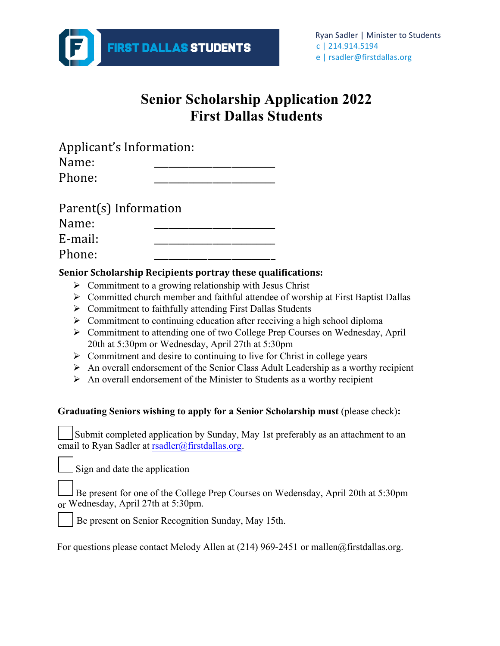

## **Senior Scholarship Application 2022 First Dallas Students**

|                       | Applicant's Information: |  |
|-----------------------|--------------------------|--|
| Name:                 |                          |  |
| Phone:                |                          |  |
| Parent(s) Information |                          |  |
| Name:                 |                          |  |
| E-mail:               |                          |  |
| Phone:                |                          |  |

### **Senior Scholarship Recipients portray these qualifications:**

- $\triangleright$  Commitment to a growing relationship with Jesus Christ
- $\triangleright$  Committed church member and faithful attendee of worship at First Baptist Dallas
- $\triangleright$  Commitment to faithfully attending First Dallas Students
- $\triangleright$  Commitment to continuing education after receiving a high school diploma
- Ø Commitment to attending one of two College Prep Courses on Wednesday, April 20th at 5:30pm or Wednesday, April 27th at 5:30pm
- $\triangleright$  Commitment and desire to continuing to live for Christ in college years
- $\triangleright$  An overall endorsement of the Senior Class Adult Leadership as a worthy recipient
- $\triangleright$  An overall endorsement of the Minister to Students as a worthy recipient

#### **Graduating Seniors wishing to apply for a Senior Scholarship must** (please check)**:**

| Submit completed application by Sunday, May 1st preferably as an attachment to an |  |
|-----------------------------------------------------------------------------------|--|
| email to Ryan Sadler at rsadler@firstdallas.org.                                  |  |

Sign and date the application

| Be present for one of the College Prep Courses on Wedensday, April 20th at 5:30pm |  |  |  |
|-----------------------------------------------------------------------------------|--|--|--|
| or Wednesday, April 27th at 5:30pm.                                               |  |  |  |



Be present on Senior Recognition Sunday, May 15th.

For questions please contact Melody Allen at (214) 969-2451 or mallen@firstdallas.org.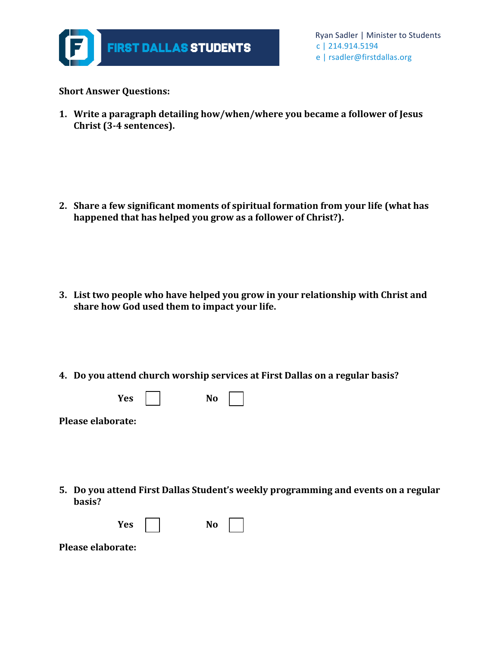

**Short Answer Questions:** 

**1.** Write a paragraph detailing how/when/where you became a follower of Jesus Christ (3-4 sentences).

2. Share a few significant moments of spiritual formation from your life (what has happened that has helped you grow as a follower of Christ?).

- **3.** List two people who have helped you grow in your relationship with Christ and share how God used them to impact your life.
- **4. Do you attend church worship services at First Dallas on a regular basis?**

| Yes | No |  |
|-----|----|--|
|     |    |  |

- **Please elaborate:**
- **5.** Do you attend First Dallas Student's weekly programming and events on a regular **basis?**

| 37<br>~~<br>765 | υ<br>- |
|-----------------|--------|
|                 |        |

**Please elaborate:**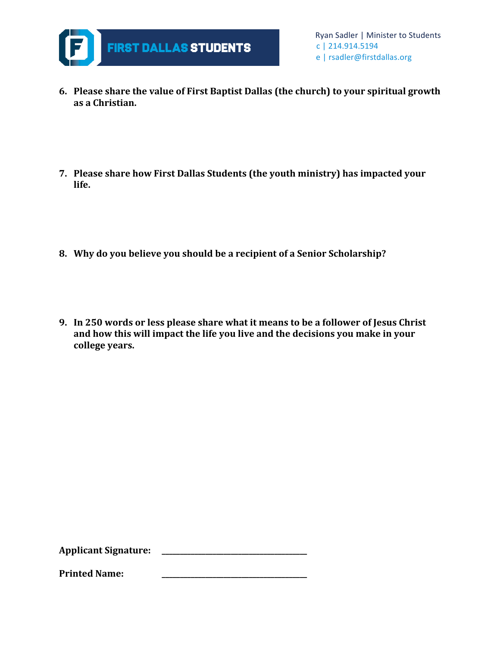

- **6.** Please share the value of First Baptist Dallas (the church) to your spiritual growth **as a Christian.**
- **7.** Please share how First Dallas Students (the youth ministry) has impacted your **life.**
- **8. Why do you believe you should be a recipient of a Senior Scholarship?**
- **9.** In 250 words or less please share what it means to be a follower of Jesus Christ and how this will impact the life you live and the decisions you make in your **college years.**

**Applicant Signature: \_\_\_\_\_\_\_\_\_\_\_\_\_\_\_\_\_\_\_\_\_\_\_\_\_\_\_\_\_\_\_\_\_\_\_\_\_\_\_\_**

**Printed Name:**